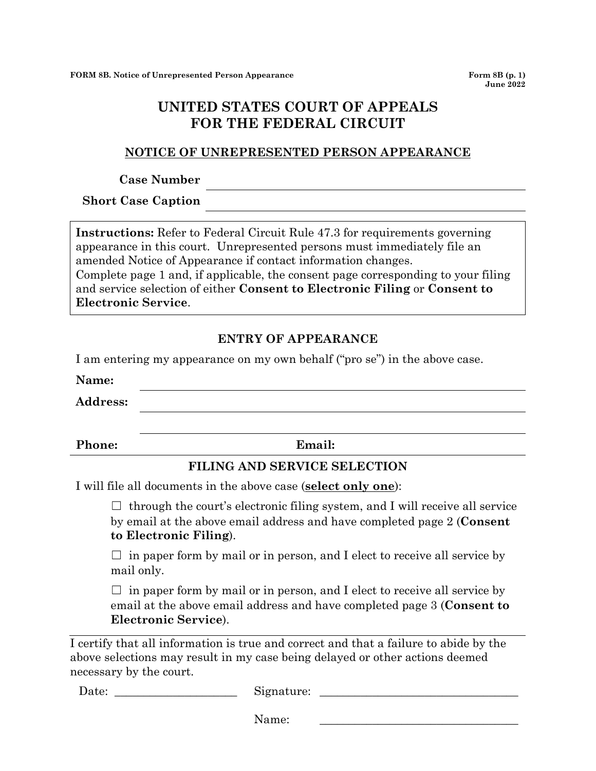# **UNITED STATES COURT OF APPEALS FOR THE FEDERAL CIRCUIT**

#### **NOTICE OF UNREPRESENTED PERSON APPEARANCE**

#### **Case Number**

**Short Case Caption**

**Instructions:** Refer to Federal Circuit Rule 47.3 for requirements governing appearance in this court. Unrepresented persons must immediately file an amended Notice of Appearance if contact information changes. Complete page 1 and, if applicable, the consent page corresponding to your filing and service selection of either **Consent to Electronic Filing** or **Consent to Electronic Service**.

## **ENTRY OF APPEARANCE**

I am entering my appearance on my own behalf ("pro se") in the above case.

**Name:**

**Address:**

**Phone: Email:**

### **FILING AND SERVICE SELECTION**

I will file all documents in the above case (**select only one**):

 $\Box$  through the court's electronic filing system, and I will receive all service by email at the above email address and have completed page 2 (**Consent to Electronic Filing**).

 $\Box$  in paper form by mail or in person, and I elect to receive all service by mail only.

 $\Box$  in paper form by mail or in person, and I elect to receive all service by email at the above email address and have completed page 3 (**Consent to Electronic Service**).

I certify that all information is true and correct and that a failure to abide by the above selections may result in my case being delayed or other actions deemed necessary by the court.

Date: \_\_\_\_\_\_\_\_\_\_\_\_\_\_\_\_\_\_\_\_\_ Signature: \_\_\_\_\_\_\_\_\_\_\_\_\_\_\_\_\_\_\_\_\_\_\_\_\_\_\_\_\_\_\_\_\_\_

Name: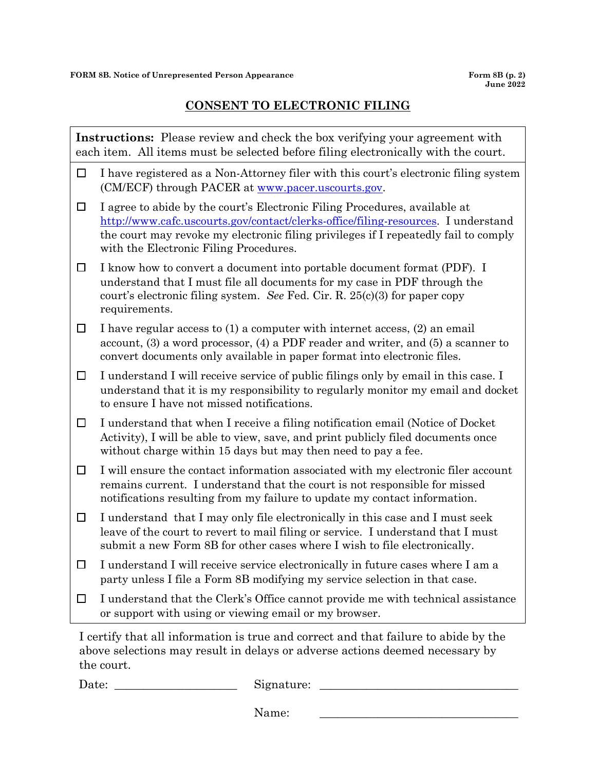$\overline{\phantom{a}}$ 

# **CONSENT TO ELECTRONIC FILING**

| <b>Instructions:</b> Please review and check the box verifying your agreement with<br>each item. All items must be selected before filing electronically with the court.                                                                                                                                                                                                                                                                                                              |                                                                                                                                                                                                                                                                                                  |  |
|---------------------------------------------------------------------------------------------------------------------------------------------------------------------------------------------------------------------------------------------------------------------------------------------------------------------------------------------------------------------------------------------------------------------------------------------------------------------------------------|--------------------------------------------------------------------------------------------------------------------------------------------------------------------------------------------------------------------------------------------------------------------------------------------------|--|
| $\Box$                                                                                                                                                                                                                                                                                                                                                                                                                                                                                | I have registered as a Non-Attorney filer with this court's electronic filing system<br>(CM/ECF) through PACER at www.pacer.uscourts.gov.                                                                                                                                                        |  |
| $\Box$                                                                                                                                                                                                                                                                                                                                                                                                                                                                                | I agree to abide by the court's Electronic Filing Procedures, available at<br>http://www.cafc.uscourts.gov/contact/clerks-office/filing-resources. I understand<br>the court may revoke my electronic filing privileges if I repeatedly fail to comply<br>with the Electronic Filing Procedures. |  |
| $\Box$                                                                                                                                                                                                                                                                                                                                                                                                                                                                                | I know how to convert a document into portable document format (PDF). I<br>understand that I must file all documents for my case in PDF through the<br>court's electronic filing system. See Fed. Cir. R. $25(c)(3)$ for paper copy<br>requirements.                                             |  |
| $\Box$                                                                                                                                                                                                                                                                                                                                                                                                                                                                                | I have regular access to (1) a computer with internet access, (2) an email<br>account, $(3)$ a word processor, $(4)$ a PDF reader and writer, and $(5)$ a scanner to<br>convert documents only available in paper format into electronic files.                                                  |  |
| $\Box$                                                                                                                                                                                                                                                                                                                                                                                                                                                                                | I understand I will receive service of public filings only by email in this case. I<br>understand that it is my responsibility to regularly monitor my email and docket<br>to ensure I have not missed notifications.                                                                            |  |
| $\Box$                                                                                                                                                                                                                                                                                                                                                                                                                                                                                | I understand that when I receive a filing notification email (Notice of Docket<br>Activity), I will be able to view, save, and print publicly filed documents once<br>without charge within 15 days but may then need to pay a fee.                                                              |  |
| $\Box$                                                                                                                                                                                                                                                                                                                                                                                                                                                                                | I will ensure the contact information associated with my electronic filer account<br>remains current. I understand that the court is not responsible for missed<br>notifications resulting from my failure to update my contact information.                                                     |  |
| $\Box$                                                                                                                                                                                                                                                                                                                                                                                                                                                                                | I understand that I may only file electronically in this case and I must seek<br>leave of the court to revert to mail filing or service. I understand that I must<br>submit a new Form 8B for other cases where I wish to file electronically.                                                   |  |
| $\Box$                                                                                                                                                                                                                                                                                                                                                                                                                                                                                | I understand I will receive service electronically in future cases where I am a<br>party unless I file a Form 8B modifying my service selection in that case.                                                                                                                                    |  |
| $\Box$                                                                                                                                                                                                                                                                                                                                                                                                                                                                                | I understand that the Clerk's Office cannot provide me with technical assistance<br>or support with using or viewing email or my browser.                                                                                                                                                        |  |
| $\mathbf{1} \cdot \mathbf{1} \cdot \mathbf{1} \cdot \mathbf{1} \cdot \mathbf{1} \cdot \mathbf{1} \cdot \mathbf{1} \cdot \mathbf{1} \cdot \mathbf{1} \cdot \mathbf{1} \cdot \mathbf{1} \cdot \mathbf{1} \cdot \mathbf{1} \cdot \mathbf{1} \cdot \mathbf{1} \cdot \mathbf{1} \cdot \mathbf{1} \cdot \mathbf{1} \cdot \mathbf{1} \cdot \mathbf{1} \cdot \mathbf{1} \cdot \mathbf{1} \cdot \mathbf{1} \cdot \mathbf{1} \cdot \mathbf{1} \cdot \mathbf{1} \cdot \mathbf{1} \cdot \mathbf{$ |                                                                                                                                                                                                                                                                                                  |  |

I certify that all information is true and correct and that failure to abide by the above selections may result in delays or adverse actions deemed necessary by the court.

Date: \_\_\_\_\_\_\_\_\_\_\_\_\_\_\_\_\_\_\_\_\_ Signature: \_\_\_\_\_\_\_\_\_\_\_\_\_\_\_\_\_\_\_\_\_\_\_\_\_\_\_\_\_\_\_\_\_\_

Name: